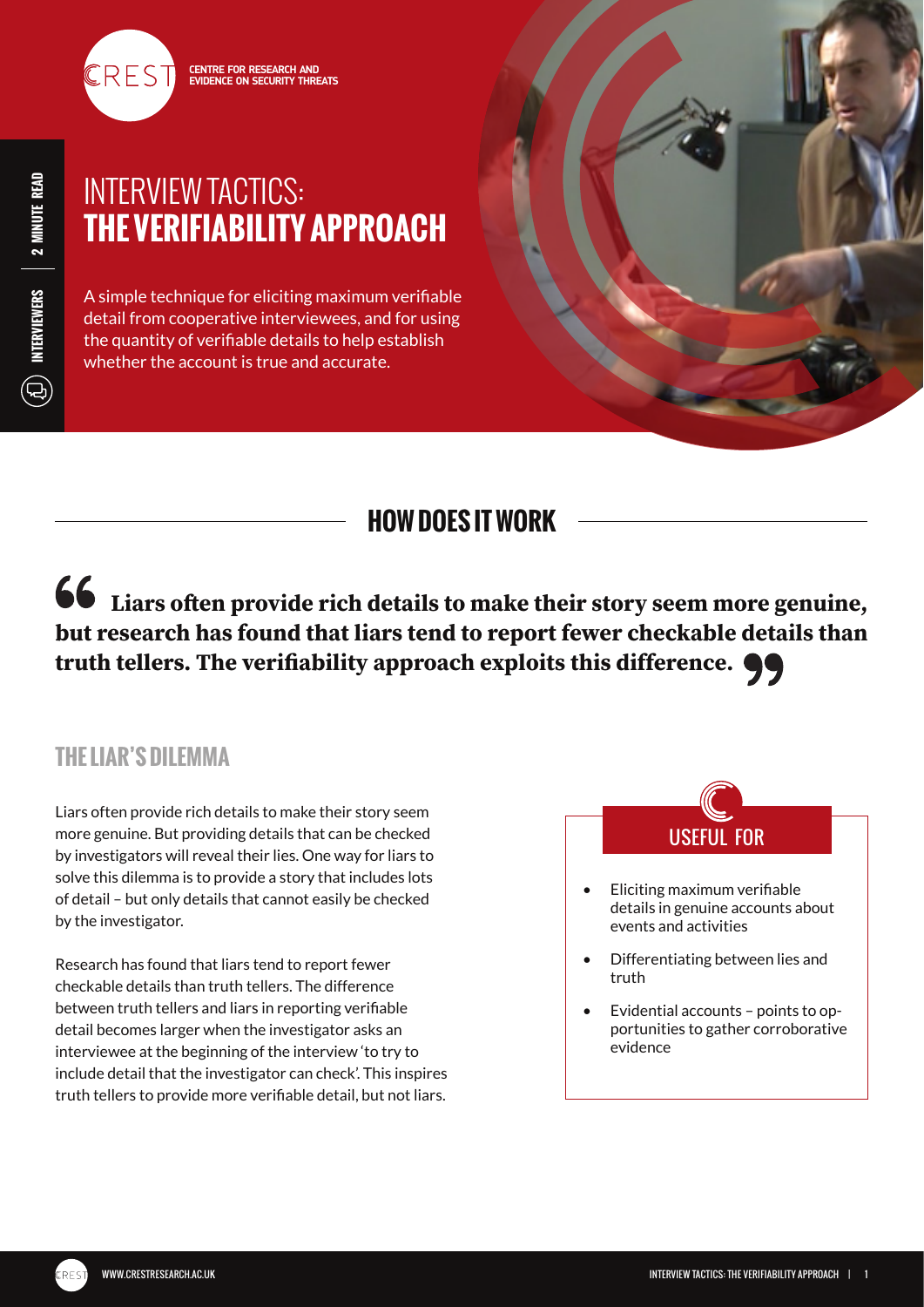

**Liars often provide rich details to make their story seem more genuine, but research has found that liars tend to report fewer checkable details than truth tellers. The verifiability approach exploits this difference.**

## **THE LIAR'S DILEMMA**

Liars often provide rich details to make their story seem more genuine. But providing details that can be checked by investigators will reveal their lies. One way for liars to solve this dilemma is to provide a story that includes lots of detail – but only details that cannot easily be checked by the investigator.

Research has found that liars tend to report fewer checkable details than truth tellers. The difference between truth tellers and liars in reporting verifiable detail becomes larger when the investigator asks an interviewee at the beginning of the interview 'to try to include detail that the investigator can check'. This inspires truth tellers to provide more verifiable detail, but not liars.

USEFUL FOR

- Eliciting maximum verifiable details in genuine accounts about events and activities
- Differentiating between lies and truth
- Evidential accounts points to opportunities to gather corroborative evidence